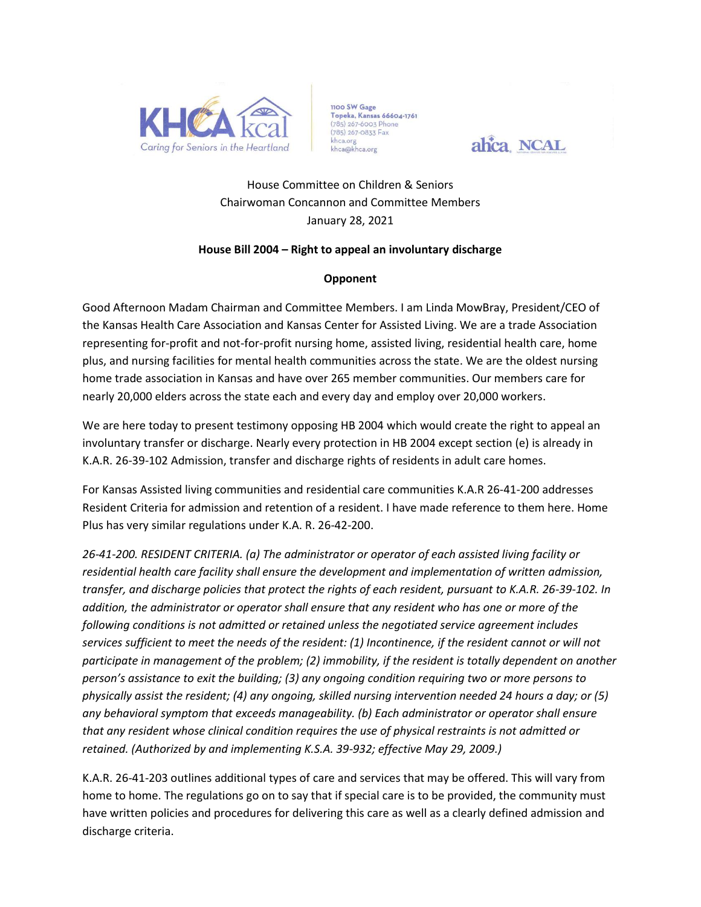

1100 SW Gage Topeka, Kansas 66604-1761 (785) 267-6003 Phone (785) 267-0833 Fax khca.org<br>khca@khca.org

ahca NCAL

## House Committee on Children & Seniors Chairwoman Concannon and Committee Members January 28, 2021

## **House Bill 2004 – Right to appeal an involuntary discharge**

## **Opponent**

Good Afternoon Madam Chairman and Committee Members. I am Linda MowBray, President/CEO of the Kansas Health Care Association and Kansas Center for Assisted Living. We are a trade Association representing for-profit and not-for-profit nursing home, assisted living, residential health care, home plus, and nursing facilities for mental health communities across the state. We are the oldest nursing home trade association in Kansas and have over 265 member communities. Our members care for nearly 20,000 elders across the state each and every day and employ over 20,000 workers.

We are here today to present testimony opposing HB 2004 which would create the right to appeal an involuntary transfer or discharge. Nearly every protection in HB 2004 except section (e) is already in K.A.R. 26-39-102 Admission, transfer and discharge rights of residents in adult care homes.

For Kansas Assisted living communities and residential care communities K.A.R 26-41-200 addresses Resident Criteria for admission and retention of a resident. I have made reference to them here. Home Plus has very similar regulations under K.A. R. 26-42-200.

*26-41-200. RESIDENT CRITERIA. (a) The administrator or operator of each assisted living facility or residential health care facility shall ensure the development and implementation of written admission, transfer, and discharge policies that protect the rights of each resident, pursuant to K.A.R. 26-39-102. In addition, the administrator or operator shall ensure that any resident who has one or more of the following conditions is not admitted or retained unless the negotiated service agreement includes services sufficient to meet the needs of the resident: (1) Incontinence, if the resident cannot or will not participate in management of the problem; (2) immobility, if the resident is totally dependent on another person's assistance to exit the building; (3) any ongoing condition requiring two or more persons to physically assist the resident; (4) any ongoing, skilled nursing intervention needed 24 hours a day; or (5) any behavioral symptom that exceeds manageability. (b) Each administrator or operator shall ensure that any resident whose clinical condition requires the use of physical restraints is not admitted or retained. (Authorized by and implementing K.S.A. 39-932; effective May 29, 2009.)*

K.A.R. 26-41-203 outlines additional types of care and services that may be offered. This will vary from home to home. The regulations go on to say that if special care is to be provided, the community must have written policies and procedures for delivering this care as well as a clearly defined admission and discharge criteria.